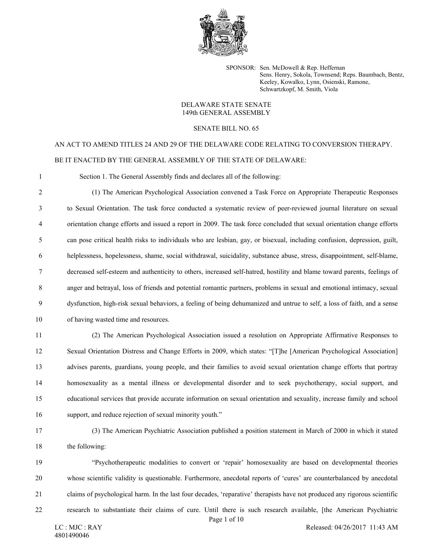

SPONSOR: Sen. McDowell & Rep. Heffernan Sens. Henry, Sokola, Townsend; Reps. Baumbach, Bentz, Keeley, Kowalko, Lynn, Osienski, Ramone, Schwartzkopf, M. Smith, Viola

## DELAWARE STATE SENATE 149th GENERAL ASSEMBLY

## SENATE BILL NO. 65

## AN ACT TO AMEND TITLES 24 AND 29 OF THE DELAWARE CODE RELATING TO CONVERSION THERAPY. BE IT ENACTED BY THE GENERAL ASSEMBLY OF THE STATE OF DELAWARE:

1 Section 1. The General Assembly finds and declares all of the following:

2 (1) The American Psychological Association convened a Task Force on Appropriate Therapeutic Responses 3 to Sexual Orientation. The task force conducted a systematic review of peer-reviewed journal literature on sexual 4 orientation change efforts and issued a report in 2009. The task force concluded that sexual orientation change efforts 5 can pose critical health risks to individuals who are lesbian, gay, or bisexual, including confusion, depression, guilt, 6 helplessness, hopelessness, shame, social withdrawal, suicidality, substance abuse, stress, disappointment, self-blame, 7 decreased self-esteem and authenticity to others, increased self-hatred, hostility and blame toward parents, feelings of 8 anger and betrayal, loss of friends and potential romantic partners, problems in sexual and emotional intimacy, sexual 9 dysfunction, high-risk sexual behaviors, a feeling of being dehumanized and untrue to self, a loss of faith, and a sense 10 of having wasted time and resources.

11 (2) The American Psychological Association issued a resolution on Appropriate Affirmative Responses to 12 Sexual Orientation Distress and Change Efforts in 2009, which states: "[T]he [American Psychological Association] 13 advises parents, guardians, young people, and their families to avoid sexual orientation change efforts that portray 14 homosexuality as a mental illness or developmental disorder and to seek psychotherapy, social support, and 15 educational services that provide accurate information on sexual orientation and sexuality, increase family and school 16 support, and reduce rejection of sexual minority youth."

17 (3) The American Psychiatric Association published a position statement in March of 2000 in which it stated 18 the following:

19 "Psychotherapeutic modalities to convert or 'repair' homosexuality are based on developmental theories 20 whose scientific validity is questionable. Furthermore, anecdotal reports of 'cures' are counterbalanced by anecdotal 21 claims of psychological harm. In the last four decades, 'reparative' therapists have not produced any rigorous scientific 22 research to substantiate their claims of cure. Until there is such research available, [the American Psychiatric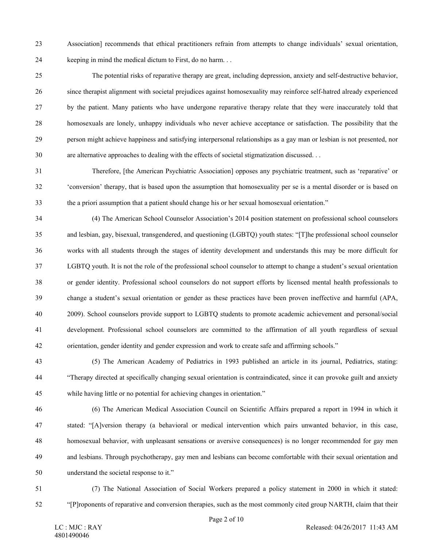23 Association] recommends that ethical practitioners refrain from attempts to change individuals' sexual orientation, 24 keeping in mind the medical dictum to First, do no harm. . .

25 The potential risks of reparative therapy are great, including depression, anxiety and self-destructive behavior, 26 since therapist alignment with societal prejudices against homosexuality may reinforce self-hatred already experienced 27 by the patient. Many patients who have undergone reparative therapy relate that they were inaccurately told that 28 homosexuals are lonely, unhappy individuals who never achieve acceptance or satisfaction. The possibility that the 29 person might achieve happiness and satisfying interpersonal relationships as a gay man or lesbian is not presented, nor 30 are alternative approaches to dealing with the effects of societal stigmatization discussed. . .

31 Therefore, [the American Psychiatric Association] opposes any psychiatric treatment, such as 'reparative' or 32 'conversion' therapy, that is based upon the assumption that homosexuality per se is a mental disorder or is based on 33 the a priori assumption that a patient should change his or her sexual homosexual orientation."

34 (4) The American School Counselor Association's 2014 position statement on professional school counselors 35 and lesbian, gay, bisexual, transgendered, and questioning (LGBTQ) youth states: "[T]he professional school counselor 36 works with all students through the stages of identity development and understands this may be more difficult for 37 LGBTQ youth. It is not the role of the professional school counselor to attempt to change a student's sexual orientation 38 or gender identity. Professional school counselors do not support efforts by licensed mental health professionals to 39 change a student's sexual orientation or gender as these practices have been proven ineffective and harmful (APA, 40 2009). School counselors provide support to LGBTQ students to promote academic achievement and personal/social 41 development. Professional school counselors are committed to the affirmation of all youth regardless of sexual 42 orientation, gender identity and gender expression and work to create safe and affirming schools."

43 (5) The American Academy of Pediatrics in 1993 published an article in its journal, Pediatrics, stating: 44 "Therapy directed at specifically changing sexual orientation is contraindicated, since it can provoke guilt and anxiety 45 while having little or no potential for achieving changes in orientation."

- 46 (6) The American Medical Association Council on Scientific Affairs prepared a report in 1994 in which it 47 stated: "[A]version therapy (a behavioral or medical intervention which pairs unwanted behavior, in this case, 48 homosexual behavior, with unpleasant sensations or aversive consequences) is no longer recommended for gay men 49 and lesbians. Through psychotherapy, gay men and lesbians can become comfortable with their sexual orientation and 50 understand the societal response to it."
- 51 (7) The National Association of Social Workers prepared a policy statement in 2000 in which it stated: 52 "[P]roponents of reparative and conversion therapies, such as the most commonly cited group NARTH, claim that their

Page 2 of 10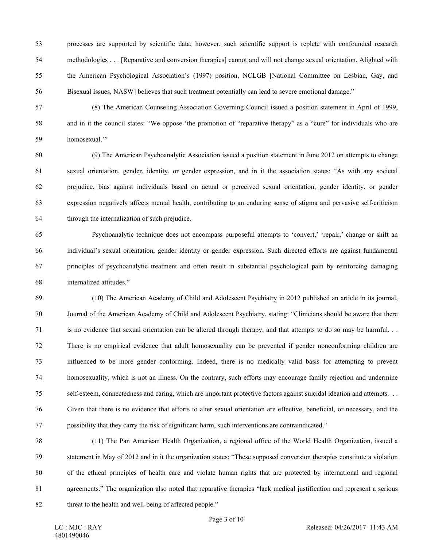53 processes are supported by scientific data; however, such scientific support is replete with confounded research 54 methodologies . . . [Reparative and conversion therapies] cannot and will not change sexual orientation. Alighted with 55 the American Psychological Association's (1997) position, NCLGB [National Committee on Lesbian, Gay, and 56 Bisexual Issues, NASW] believes that such treatment potentially can lead to severe emotional damage."

57 (8) The American Counseling Association Governing Council issued a position statement in April of 1999, 58 and in it the council states: "We oppose 'the promotion of "reparative therapy" as a "cure" for individuals who are 59 homosexual.'"

60 (9) The American Psychoanalytic Association issued a position statement in June 2012 on attempts to change 61 sexual orientation, gender, identity, or gender expression, and in it the association states: "As with any societal 62 prejudice, bias against individuals based on actual or perceived sexual orientation, gender identity, or gender 63 expression negatively affects mental health, contributing to an enduring sense of stigma and pervasive self-criticism 64 through the internalization of such prejudice.

65 Psychoanalytic technique does not encompass purposeful attempts to 'convert,' 'repair,' change or shift an 66 individual's sexual orientation, gender identity or gender expression. Such directed efforts are against fundamental 67 principles of psychoanalytic treatment and often result in substantial psychological pain by reinforcing damaging 68 internalized attitudes."

69 (10) The American Academy of Child and Adolescent Psychiatry in 2012 published an article in its journal, 70 Journal of the American Academy of Child and Adolescent Psychiatry, stating: "Clinicians should be aware that there 71 is no evidence that sexual orientation can be altered through therapy, and that attempts to do so may be harmful. . . 72 There is no empirical evidence that adult homosexuality can be prevented if gender nonconforming children are 73 influenced to be more gender conforming. Indeed, there is no medically valid basis for attempting to prevent 74 homosexuality, which is not an illness. On the contrary, such efforts may encourage family rejection and undermine 75 self-esteem, connectedness and caring, which are important protective factors against suicidal ideation and attempts. . . 76 Given that there is no evidence that efforts to alter sexual orientation are effective, beneficial, or necessary, and the 77 possibility that they carry the risk of significant harm, such interventions are contraindicated."

78 (11) The Pan American Health Organization, a regional office of the World Health Organization, issued a 79 statement in May of 2012 and in it the organization states: "These supposed conversion therapies constitute a violation 80 of the ethical principles of health care and violate human rights that are protected by international and regional 81 agreements." The organization also noted that reparative therapies "lack medical justification and represent a serious 82 threat to the health and well-being of affected people."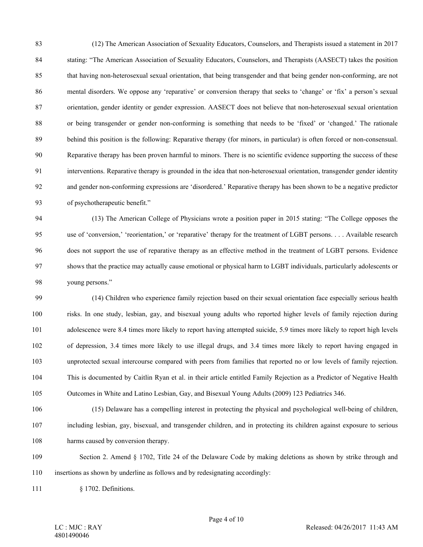83 (12) The American Association of Sexuality Educators, Counselors, and Therapists issued a statement in 2017 84 stating: "The American Association of Sexuality Educators, Counselors, and Therapists (AASECT) takes the position 85 that having non-heterosexual sexual orientation, that being transgender and that being gender non-conforming, are not 86 mental disorders. We oppose any 'reparative' or conversion therapy that seeks to 'change' or 'fix' a person's sexual 87 orientation, gender identity or gender expression. AASECT does not believe that non-heterosexual sexual orientation 88 or being transgender or gender non-conforming is something that needs to be 'fixed' or 'changed.' The rationale 89 behind this position is the following: Reparative therapy (for minors, in particular) is often forced or non-consensual. 90 Reparative therapy has been proven harmful to minors. There is no scientific evidence supporting the success of these 91 interventions. Reparative therapy is grounded in the idea that non-heterosexual orientation, transgender gender identity 92 and gender non-conforming expressions are 'disordered.' Reparative therapy has been shown to be a negative predictor 93 of psychotherapeutic benefit."

94 (13) The American College of Physicians wrote a position paper in 2015 stating: "The College opposes the 95 use of 'conversion,' 'reorientation,' or 'reparative' therapy for the treatment of LGBT persons. . . . Available research 96 does not support the use of reparative therapy as an effective method in the treatment of LGBT persons. Evidence 97 shows that the practice may actually cause emotional or physical harm to LGBT individuals, particularly adolescents or 98 young persons."

99 (14) Children who experience family rejection based on their sexual orientation face especially serious health 100 risks. In one study, lesbian, gay, and bisexual young adults who reported higher levels of family rejection during 101 adolescence were 8.4 times more likely to report having attempted suicide, 5.9 times more likely to report high levels 102 of depression, 3.4 times more likely to use illegal drugs, and 3.4 times more likely to report having engaged in 103 unprotected sexual intercourse compared with peers from families that reported no or low levels of family rejection. 104 This is documented by Caitlin Ryan et al. in their article entitled Family Rejection as a Predictor of Negative Health 105 Outcomes in White and Latino Lesbian, Gay, and Bisexual Young Adults (2009) 123 Pediatrics 346.

- 106 (15) Delaware has a compelling interest in protecting the physical and psychological well-being of children, 107 including lesbian, gay, bisexual, and transgender children, and in protecting its children against exposure to serious 108 harms caused by conversion therapy.
- 109 Section 2. Amend § 1702, Title 24 of the Delaware Code by making deletions as shown by strike through and 110 insertions as shown by underline as follows and by redesignating accordingly:

111 § 1702. Definitions.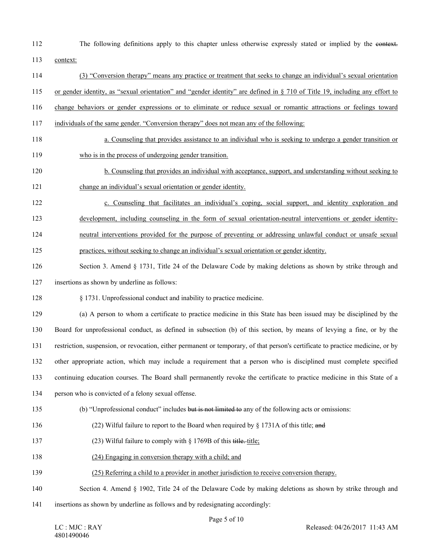112 The following definitions apply to this chapter unless otherwise expressly stated or implied by the context.

113 context:

114 (3) "Conversion therapy" means any practice or treatment that seeks to change an individual's sexual orientation

115 or gender identity, as "sexual orientation" and "gender identity" are defined in § 710 of Title 19, including any effort to

- 116 change behaviors or gender expressions or to eliminate or reduce sexual or romantic attractions or feelings toward
- 117 individuals of the same gender. "Conversion therapy" does not mean any of the following:
- 118 a. Counseling that provides assistance to an individual who is seeking to undergo a gender transition or 119 who is in the process of undergoing gender transition.
- 120 b. Counseling that provides an individual with acceptance, support, and understanding without seeking to 121 change an individual's sexual orientation or gender identity.
- 122 c. Counseling that facilitates an individual's coping, social support, and identity exploration and 123 development, including counseling in the form of sexual orientation-neutral interventions or gender identity-124 neutral interventions provided for the purpose of preventing or addressing unlawful conduct or unsafe sexual
- 125 practices, without seeking to change an individual's sexual orientation or gender identity.
- 126 Section 3. Amend § 1731, Title 24 of the Delaware Code by making deletions as shown by strike through and 127 insertions as shown by underline as follows:
- 128 § 1731. Unprofessional conduct and inability to practice medicine.

129 (a) A person to whom a certificate to practice medicine in this State has been issued may be disciplined by the 130 Board for unprofessional conduct, as defined in subsection (b) of this section, by means of levying a fine, or by the 131 restriction, suspension, or revocation, either permanent or temporary, of that person's certificate to practice medicine, or by 132 other appropriate action, which may include a requirement that a person who is disciplined must complete specified 133 continuing education courses. The Board shall permanently revoke the certificate to practice medicine in this State of a

- 134 person who is convicted of a felony sexual offense.
- 135 (b) "Unprofessional conduct" includes but is not limited to any of the following acts or omissions:
- 136 (22) Wilful failure to report to the Board when required by § 1731A of this title; and
- 137 (23) Wilful failure to comply with § 1769B of this title, title;
- 138 (24) Engaging in conversion therapy with a child; and
- 139 (25) Referring a child to a provider in another jurisdiction to receive conversion therapy.
- 140 Section 4. Amend § 1902, Title 24 of the Delaware Code by making deletions as shown by strike through and
- 141 insertions as shown by underline as follows and by redesignating accordingly: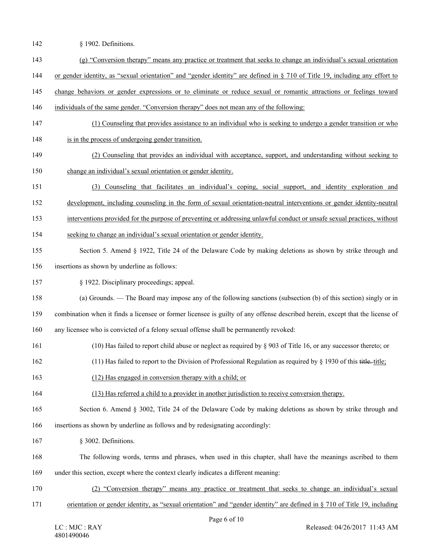- 142 § 1902. Definitions.
- 143 (g) "Conversion therapy" means any practice or treatment that seeks to change an individual's sexual orientation
- 144 or gender identity, as "sexual orientation" and "gender identity" are defined in § 710 of Title 19, including any effort to
- 145 change behaviors or gender expressions or to eliminate or reduce sexual or romantic attractions or feelings toward
- 146 individuals of the same gender. "Conversion therapy" does not mean any of the following:
- 147 (1) Counseling that provides assistance to an individual who is seeking to undergo a gender transition or who
- 148 is in the process of undergoing gender transition.
- 149 (2) Counseling that provides an individual with acceptance, support, and understanding without seeking to 150 change an individual's sexual orientation or gender identity.
- 151 (3) Counseling that facilitates an individual's coping, social support, and identity exploration and
- 152 development, including counseling in the form of sexual orientation-neutral interventions or gender identity-neutral
- 153 interventions provided for the purpose of preventing or addressing unlawful conduct or unsafe sexual practices, without
- 154 seeking to change an individual's sexual orientation or gender identity.
- 155 Section 5. Amend § 1922, Title 24 of the Delaware Code by making deletions as shown by strike through and 156 insertions as shown by underline as follows:
- 157 § 1922. Disciplinary proceedings; appeal.
- 158 (a) Grounds. The Board may impose any of the following sanctions (subsection (b) of this section) singly or in
- 159 combination when it finds a licensee or former licensee is guilty of any offense described herein, except that the license of
- 160 any licensee who is convicted of a felony sexual offense shall be permanently revoked:
- 161 (10) Has failed to report child abuse or neglect as required by § 903 of Title 16, or any successor thereto; or
- 162 (11) Has failed to report to the Division of Professional Regulation as required by § 1930 of this title. title;
- 163 (12) Has engaged in conversion therapy with a child; or
- 164 (13) Has referred a child to a provider in another jurisdiction to receive conversion therapy.
- 165 Section 6. Amend § 3002, Title 24 of the Delaware Code by making deletions as shown by strike through and
- 166 insertions as shown by underline as follows and by redesignating accordingly:
- 167 § 3002. Definitions.
- 168 The following words, terms and phrases, when used in this chapter, shall have the meanings ascribed to them 169 under this section, except where the context clearly indicates a different meaning:
- 170 (2) "Conversion therapy" means any practice or treatment that seeks to change an individual's sexual
- 171 orientation or gender identity, as "sexual orientation" and "gender identity" are defined in § 710 of Title 19, including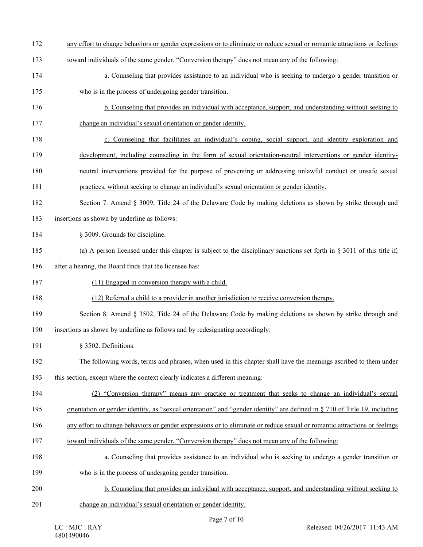- 172 any effort to change behaviors or gender expressions or to eliminate or reduce sexual or romantic attractions or feelings
- 173 toward individuals of the same gender. "Conversion therapy" does not mean any of the following:
- 174 a. Counseling that provides assistance to an individual who is seeking to undergo a gender transition or
- 175 who is in the process of undergoing gender transition.
- 176 b. Counseling that provides an individual with acceptance, support, and understanding without seeking to 177 change an individual's sexual orientation or gender identity.
- 178 c. Counseling that facilitates an individual's coping, social support, and identity exploration and
- 179 development, including counseling in the form of sexual orientation-neutral interventions or gender identity-
- 180 neutral interventions provided for the purpose of preventing or addressing unlawful conduct or unsafe sexual
- 181 practices, without seeking to change an individual's sexual orientation or gender identity.
- 182 Section 7. Amend § 3009, Title 24 of the Delaware Code by making deletions as shown by strike through and
- 183 insertions as shown by underline as follows:
- 184 § 3009. Grounds for discipline.
- 185 (a) A person licensed under this chapter is subject to the disciplinary sanctions set forth in § 3011 of this title if,
- 186 after a hearing, the Board finds that the licensee has:
- 187 (11) Engaged in conversion therapy with a child.
- 188 (12) Referred a child to a provider in another jurisdiction to receive conversion therapy.
- 189 Section 8. Amend § 3502, Title 24 of the Delaware Code by making deletions as shown by strike through and 190 insertions as shown by underline as follows and by redesignating accordingly:
- 191 § 3502. Definitions.
- 192 The following words, terms and phrases, when used in this chapter shall have the meanings ascribed to them under
- 193 this section, except where the context clearly indicates a different meaning:
- 194 (2) "Conversion therapy" means any practice or treatment that seeks to change an individual's sexual
- 195 orientation or gender identity, as "sexual orientation" and "gender identity" are defined in § 710 of Title 19, including
- 196 any effort to change behaviors or gender expressions or to eliminate or reduce sexual or romantic attractions or feelings
- 197 toward individuals of the same gender. "Conversion therapy" does not mean any of the following:
- 198 a. Counseling that provides assistance to an individual who is seeking to undergo a gender transition or
- 199 who is in the process of undergoing gender transition.
- 200 b. Counseling that provides an individual with acceptance, support, and understanding without seeking to
- 201 change an individual's sexual orientation or gender identity.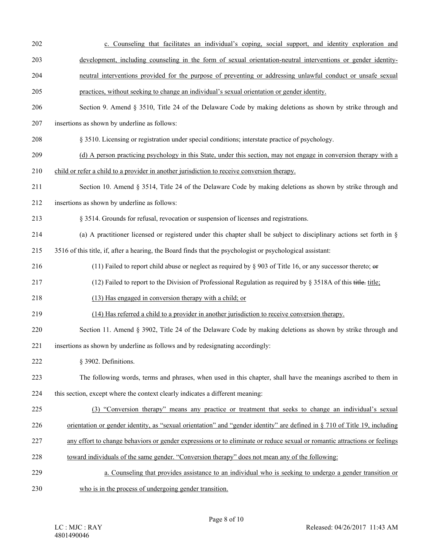- 202 c. Counseling that facilitates an individual's coping, social support, and identity exploration and
- 203 development, including counseling in the form of sexual orientation-neutral interventions or gender identity-
- 204 neutral interventions provided for the purpose of preventing or addressing unlawful conduct or unsafe sexual
- 205 practices, without seeking to change an individual's sexual orientation or gender identity.
- 206 Section 9. Amend § 3510, Title 24 of the Delaware Code by making deletions as shown by strike through and 207 insertions as shown by underline as follows:
- 208 § 3510. Licensing or registration under special conditions; interstate practice of psychology.
- 209 (d) A person practicing psychology in this State, under this section, may not engage in conversion therapy with a
- 210 child or refer a child to a provider in another jurisdiction to receive conversion therapy.
- 211 Section 10. Amend § 3514, Title 24 of the Delaware Code by making deletions as shown by strike through and
- 212 insertions as shown by underline as follows:
- 213 § 3514. Grounds for refusal, revocation or suspension of licenses and registrations.
- 214 (a) A practitioner licensed or registered under this chapter shall be subject to disciplinary actions set forth in §
- 215 3516 of this title, if, after a hearing, the Board finds that the psychologist or psychological assistant:
- 216 (11) Failed to report child abuse or neglect as required by § 903 of Title 16, or any successor thereto; or
- 217 (12) Failed to report to the Division of Professional Regulation as required by § 3518A of this title, title;
- 218 (13) Has engaged in conversion therapy with a child; or
- 219 (14) Has referred a child to a provider in another jurisdiction to receive conversion therapy.
- 220 Section 11. Amend § 3902, Title 24 of the Delaware Code by making deletions as shown by strike through and
- 221 insertions as shown by underline as follows and by redesignating accordingly:
- 222 § 3902. Definitions.
- 223 The following words, terms and phrases, when used in this chapter, shall have the meanings ascribed to them in 224 this section, except where the context clearly indicates a different meaning:
- 225 (3) "Conversion therapy" means any practice or treatment that seeks to change an individual's sexual
- 226 orientation or gender identity, as "sexual orientation" and "gender identity" are defined in § 710 of Title 19, including
- 227 any effort to change behaviors or gender expressions or to eliminate or reduce sexual or romantic attractions or feelings
- 228 toward individuals of the same gender. "Conversion therapy" does not mean any of the following:
- 229 a. Counseling that provides assistance to an individual who is seeking to undergo a gender transition or 230 who is in the process of undergoing gender transition.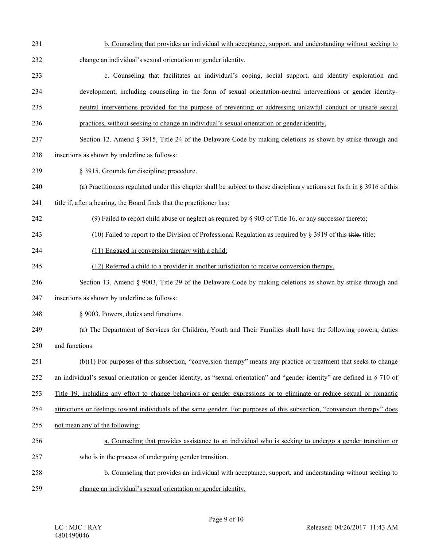- 231 b. Counseling that provides an individual with acceptance, support, and understanding without seeking to
- 232 change an individual's sexual orientation or gender identity.
- 233 c. Counseling that facilitates an individual's coping, social support, and identity exploration and
- 234 development, including counseling in the form of sexual orientation-neutral interventions or gender identity-
- 235 neutral interventions provided for the purpose of preventing or addressing unlawful conduct or unsafe sexual
- 236 practices, without seeking to change an individual's sexual orientation or gender identity.
- 237 Section 12. Amend § 3915, Title 24 of the Delaware Code by making deletions as shown by strike through and
- 238 insertions as shown by underline as follows:
- 239 § 3915. Grounds for discipline; procedure.
- 240 (a) Practitioners regulated under this chapter shall be subject to those disciplinary actions set forth in § 3916 of this
- 241 title if, after a hearing, the Board finds that the practitioner has:
- 242 (9) Failed to report child abuse or neglect as required by § 903 of Title 16, or any successor thereto;
- 243 (10) Failed to report to the Division of Professional Regulation as required by  $\S$  3919 of this title, title;
- 244 (11) Engaged in conversion therapy with a child;
- 245 (12) Referred a child to a provider in another jurisdiciton to receive conversion therapy.
- 246 Section 13. Amend § 9003, Title 29 of the Delaware Code by making deletions as shown by strike through and
- 247 insertions as shown by underline as follows:
- 248 § 9003. Powers, duties and functions.
- 249 (a) The Department of Services for Children, Youth and Their Families shall have the following powers, duties 250 and functions:
- 251 (b)(1) For purposes of this subsection, "conversion therapy" means any practice or treatment that seeks to change
- 252 an individual's sexual orientation or gender identity, as "sexual orientation" and "gender identity" are defined in § 710 of
- 253 Title 19, including any effort to change behaviors or gender expressions or to eliminate or reduce sexual or romantic
- 254 attractions or feelings toward individuals of the same gender. For purposes of this subsection, "conversion therapy" does
- 255 not mean any of the following:
- 256 a. Counseling that provides assistance to an individual who is seeking to undergo a gender transition or
- 257 who is in the process of undergoing gender transition.
- 258 b. Counseling that provides an individual with acceptance, support, and understanding without seeking to 259 change an individual's sexual orientation or gender identity.